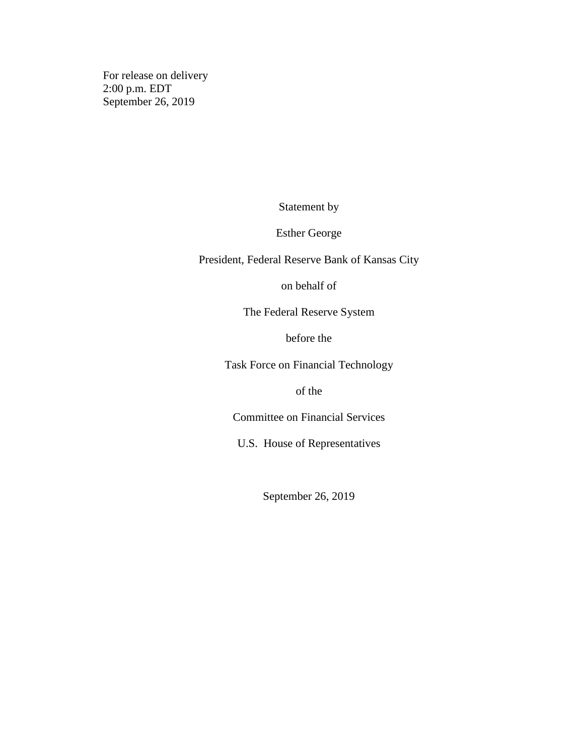For release on delivery 2:00 p.m. EDT September 26, 2019

Statement by

Esther George

President, Federal Reserve Bank of Kansas City

on behalf of

The Federal Reserve System

before the

Task Force on Financial Technology

of the

Committee on Financial Services

U.S. House of Representatives

September 26, 2019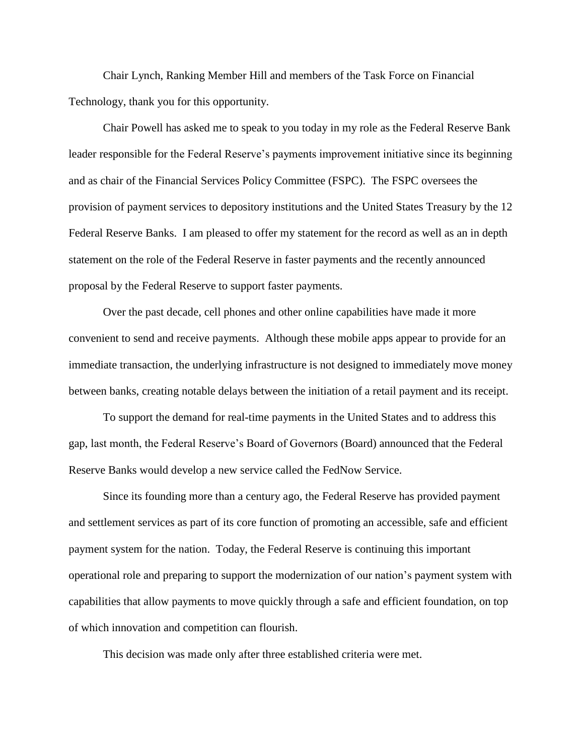Chair Lynch, Ranking Member Hill and members of the Task Force on Financial Technology, thank you for this opportunity.

Chair Powell has asked me to speak to you today in my role as the Federal Reserve Bank leader responsible for the Federal Reserve's payments improvement initiative since its beginning and as chair of the Financial Services Policy Committee (FSPC). The FSPC oversees the provision of payment services to depository institutions and the United States Treasury by the 12 Federal Reserve Banks. I am pleased to offer my statement for the record as well as an in depth statement on the role of the Federal Reserve in faster payments and the recently announced proposal by the Federal Reserve to support faster payments.

Over the past decade, cell phones and other online capabilities have made it more convenient to send and receive payments. Although these mobile apps appear to provide for an immediate transaction, the underlying infrastructure is not designed to immediately move money between banks, creating notable delays between the initiation of a retail payment and its receipt.

To support the demand for real-time payments in the United States and to address this gap, last month, the Federal Reserve's Board of Governors (Board) announced that the Federal Reserve Banks would develop a new service called the FedNow Service.

Since its founding more than a century ago, the Federal Reserve has provided payment and settlement services as part of its core function of promoting an accessible, safe and efficient payment system for the nation. Today, the Federal Reserve is continuing this important operational role and preparing to support the modernization of our nation's payment system with capabilities that allow payments to move quickly through a safe and efficient foundation, on top of which innovation and competition can flourish.

This decision was made only after three established criteria were met.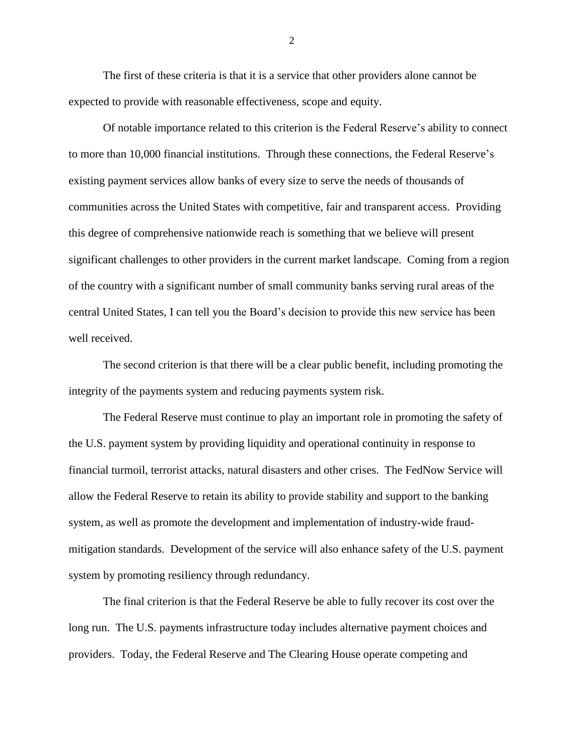The first of these criteria is that it is a service that other providers alone cannot be expected to provide with reasonable effectiveness, scope and equity.

Of notable importance related to this criterion is the Federal Reserve's ability to connect to more than 10,000 financial institutions. Through these connections, the Federal Reserve's existing payment services allow banks of every size to serve the needs of thousands of communities across the United States with competitive, fair and transparent access. Providing this degree of comprehensive nationwide reach is something that we believe will present significant challenges to other providers in the current market landscape. Coming from a region of the country with a significant number of small community banks serving rural areas of the central United States, I can tell you the Board's decision to provide this new service has been well received.

The second criterion is that there will be a clear public benefit, including promoting the integrity of the payments system and reducing payments system risk.

The Federal Reserve must continue to play an important role in promoting the safety of the U.S. payment system by providing liquidity and operational continuity in response to financial turmoil, terrorist attacks, natural disasters and other crises. The FedNow Service will allow the Federal Reserve to retain its ability to provide stability and support to the banking system, as well as promote the development and implementation of industry-wide fraudmitigation standards. Development of the service will also enhance safety of the U.S. payment system by promoting resiliency through redundancy.

The final criterion is that the Federal Reserve be able to fully recover its cost over the long run. The U.S. payments infrastructure today includes alternative payment choices and providers. Today, the Federal Reserve and The Clearing House operate competing and

2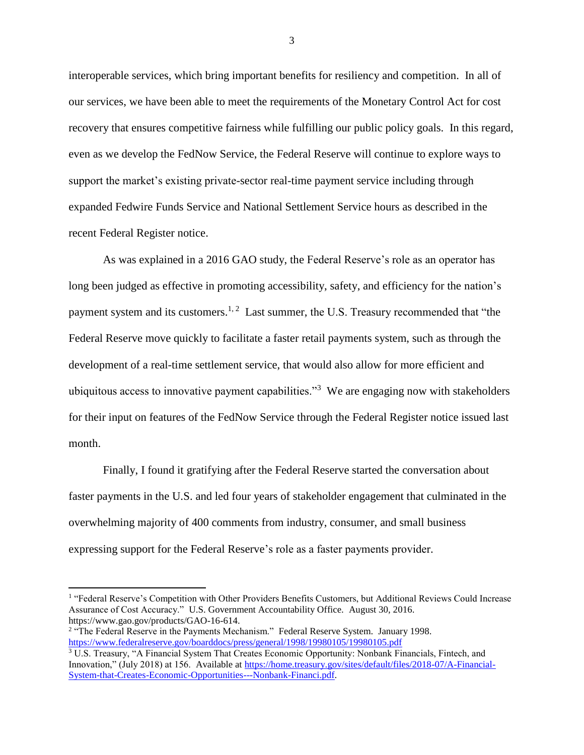interoperable services, which bring important benefits for resiliency and competition. In all of our services, we have been able to meet the requirements of the Monetary Control Act for cost recovery that ensures competitive fairness while fulfilling our public policy goals. In this regard, even as we develop the FedNow Service, the Federal Reserve will continue to explore ways to support the market's existing private-sector real-time payment service including through expanded Fedwire Funds Service and National Settlement Service hours as described in the recent Federal Register notice.

As was explained in a 2016 GAO study, the Federal Reserve's role as an operator has long been judged as effective in promoting accessibility, safety, and efficiency for the nation's payment system and its customers.<sup>1, 2</sup> Last summer, the U.S. Treasury recommended that "the Federal Reserve move quickly to facilitate a faster retail payments system, such as through the development of a real-time settlement service, that would also allow for more efficient and ubiquitous access to innovative payment capabilities."<sup>3</sup> We are engaging now with stakeholders for their input on features of the FedNow Service through the Federal Register notice issued last month.

Finally, I found it gratifying after the Federal Reserve started the conversation about faster payments in the U.S. and led four years of stakeholder engagement that culminated in the overwhelming majority of 400 comments from industry, consumer, and small business expressing support for the Federal Reserve's role as a faster payments provider.

 $\overline{a}$ 

3

<sup>&</sup>lt;sup>1</sup> "Federal Reserve's Competition with Other Providers Benefits Customers, but Additional Reviews Could Increase Assurance of Cost Accuracy." U.S. Government Accountability Office. August 30, 2016. https://www.gao.gov/products/GAO-16-614.

<sup>&</sup>lt;sup>2</sup> "The Federal Reserve in the Payments Mechanism." Federal Reserve System. January 1998. <https://www.federalreserve.gov/boarddocs/press/general/1998/19980105/19980105.pdf>

<sup>3</sup> U.S. Treasury, "A Financial System That Creates Economic Opportunity: Nonbank Financials, Fintech, and Innovation," (July 2018) at 156. Available at [https://home.treasury.gov/sites/default/files/2018-07/A-Financial-](https://home.treasury.gov/sites/default/files/2018-07/A-Financial-System-that-Creates-Economic-Opportunities---Nonbank-Financi....pdf)[System-that-Creates-Economic-Opportunities---Nonbank-Financi.pdf.](https://home.treasury.gov/sites/default/files/2018-07/A-Financial-System-that-Creates-Economic-Opportunities---Nonbank-Financi....pdf)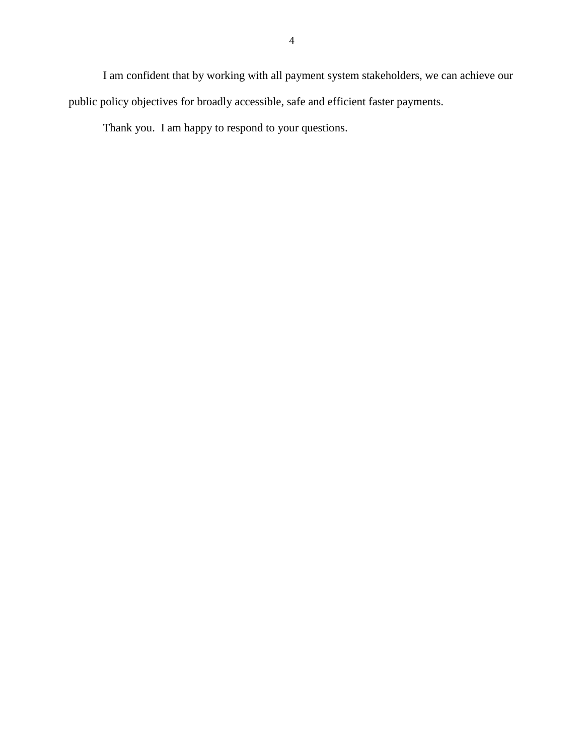I am confident that by working with all payment system stakeholders, we can achieve our public policy objectives for broadly accessible, safe and efficient faster payments.

Thank you. I am happy to respond to your questions.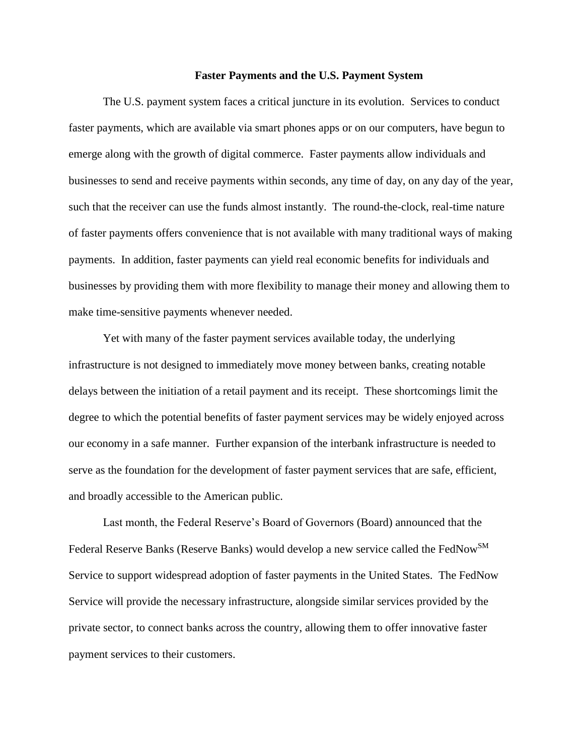#### **Faster Payments and the U.S. Payment System**

The U.S. payment system faces a critical juncture in its evolution. Services to conduct faster payments, which are available via smart phones apps or on our computers, have begun to emerge along with the growth of digital commerce. Faster payments allow individuals and businesses to send and receive payments within seconds, any time of day, on any day of the year, such that the receiver can use the funds almost instantly. The round-the-clock, real-time nature of faster payments offers convenience that is not available with many traditional ways of making payments. In addition, faster payments can yield real economic benefits for individuals and businesses by providing them with more flexibility to manage their money and allowing them to make time-sensitive payments whenever needed.

Yet with many of the faster payment services available today, the underlying infrastructure is not designed to immediately move money between banks, creating notable delays between the initiation of a retail payment and its receipt. These shortcomings limit the degree to which the potential benefits of faster payment services may be widely enjoyed across our economy in a safe manner. Further expansion of the interbank infrastructure is needed to serve as the foundation for the development of faster payment services that are safe, efficient, and broadly accessible to the American public.

Last month, the Federal Reserve's Board of Governors (Board) announced that the Federal Reserve Banks (Reserve Banks) would develop a new service called the FedNow<sup>SM</sup> Service to support widespread adoption of faster payments in the United States. The FedNow Service will provide the necessary infrastructure, alongside similar services provided by the private sector, to connect banks across the country, allowing them to offer innovative faster payment services to their customers.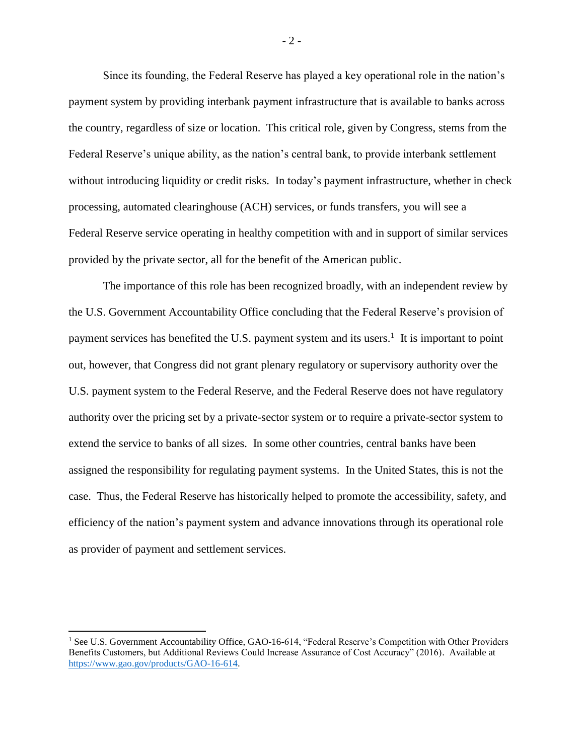Since its founding, the Federal Reserve has played a key operational role in the nation's payment system by providing interbank payment infrastructure that is available to banks across the country, regardless of size or location. This critical role, given by Congress, stems from the Federal Reserve's unique ability, as the nation's central bank, to provide interbank settlement without introducing liquidity or credit risks. In today's payment infrastructure, whether in check processing, automated clearinghouse (ACH) services, or funds transfers, you will see a Federal Reserve service operating in healthy competition with and in support of similar services provided by the private sector, all for the benefit of the American public.

The importance of this role has been recognized broadly, with an independent review by the U.S. Government Accountability Office concluding that the Federal Reserve's provision of payment services has benefited the U.S. payment system and its users.<sup>1</sup> It is important to point out, however, that Congress did not grant plenary regulatory or supervisory authority over the U.S. payment system to the Federal Reserve, and the Federal Reserve does not have regulatory authority over the pricing set by a private-sector system or to require a private-sector system to extend the service to banks of all sizes. In some other countries, central banks have been assigned the responsibility for regulating payment systems. In the United States, this is not the case. Thus, the Federal Reserve has historically helped to promote the accessibility, safety, and efficiency of the nation's payment system and advance innovations through its operational role as provider of payment and settlement services.

 $\overline{a}$ 

- 2 -

<sup>&</sup>lt;sup>1</sup> See U.S. Government Accountability Office, GAO-16-614, "Federal Reserve's Competition with Other Providers Benefits Customers, but Additional Reviews Could Increase Assurance of Cost Accuracy" (2016). Available at [https://www.gao.gov/products/GAO-16-614.](https://www.gao.gov/products/GAO-16-614)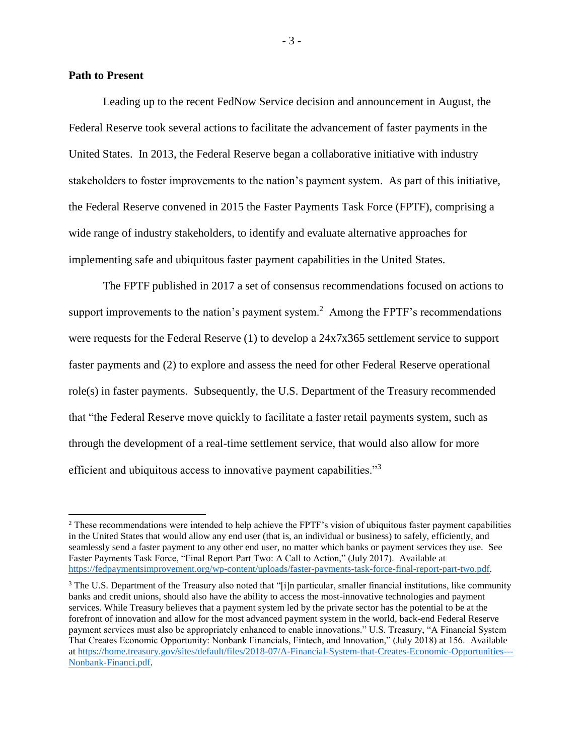### **Path to Present**

 $\overline{\phantom{a}}$ 

Leading up to the recent FedNow Service decision and announcement in August, the Federal Reserve took several actions to facilitate the advancement of faster payments in the United States. In 2013, the Federal Reserve began a collaborative initiative with industry stakeholders to foster improvements to the nation's payment system. As part of this initiative, the Federal Reserve convened in 2015 the Faster Payments Task Force (FPTF), comprising a wide range of industry stakeholders, to identify and evaluate alternative approaches for implementing safe and ubiquitous faster payment capabilities in the United States.

The FPTF published in 2017 a set of consensus recommendations focused on actions to support improvements to the nation's payment system.<sup>2</sup> Among the FPTF's recommendations were requests for the Federal Reserve (1) to develop a 24x7x365 settlement service to support faster payments and (2) to explore and assess the need for other Federal Reserve operational role(s) in faster payments. Subsequently, the U.S. Department of the Treasury recommended that "the Federal Reserve move quickly to facilitate a faster retail payments system, such as through the development of a real-time settlement service, that would also allow for more efficient and ubiquitous access to innovative payment capabilities."<sup>3</sup>

- 3 -

<sup>&</sup>lt;sup>2</sup> These recommendations were intended to help achieve the FPTF's vision of ubiquitous faster payment capabilities in the United States that would allow any end user (that is, an individual or business) to safely, efficiently, and seamlessly send a faster payment to any other end user, no matter which banks or payment services they use. See Faster Payments Task Force, "Final Report Part Two: A Call to Action," (July 2017). Available at [https://fedpaymentsimprovement.org/wp-content/uploads/faster-payments-task-force-final-report-part-two.pdf.](https://fedpaymentsimprovement.org/wp-content/uploads/faster-payments-task-force-final-report-part-two.pdf)

<sup>3</sup> The U.S. Department of the Treasury also noted that "[i]n particular, smaller financial institutions, like community banks and credit unions, should also have the ability to access the most-innovative technologies and payment services. While Treasury believes that a payment system led by the private sector has the potential to be at the forefront of innovation and allow for the most advanced payment system in the world, back-end Federal Reserve payment services must also be appropriately enhanced to enable innovations." U.S. Treasury, "A Financial System That Creates Economic Opportunity: Nonbank Financials, Fintech, and Innovation," (July 2018) at 156. Available a[t https://home.treasury.gov/sites/default/files/2018-07/A-Financial-System-that-Creates-Economic-Opportunities---](https://home.treasury.gov/sites/default/files/2018-07/A-Financial-System-that-Creates-Economic-Opportunities---Nonbank-Financi....pdf) [Nonbank-Financi.pdf.](https://home.treasury.gov/sites/default/files/2018-07/A-Financial-System-that-Creates-Economic-Opportunities---Nonbank-Financi....pdf)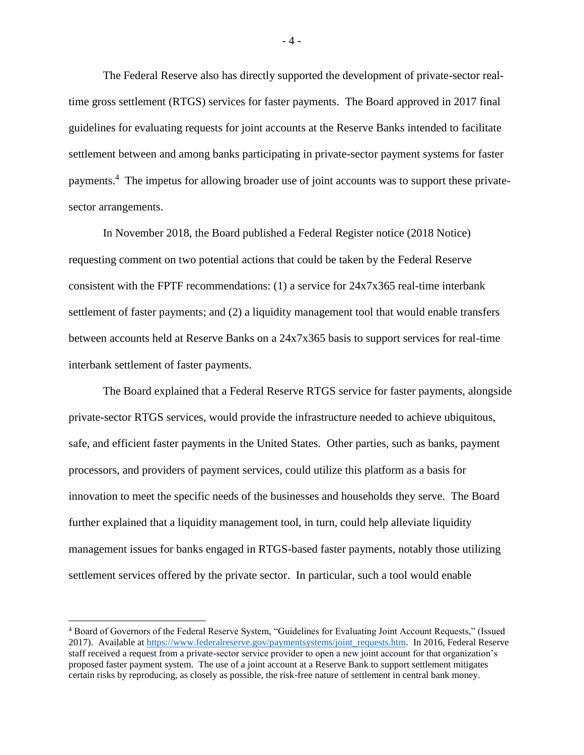The Federal Reserve also has directly supported the development of private-sector realtime gross settlement (RTGS) services for faster payments. The Board approved in 2017 final guidelines for evaluating requests for joint accounts at the Reserve Banks intended to facilitate settlement between and among banks participating in private-sector payment systems for faster payments.<sup>4</sup> The impetus for allowing broader use of joint accounts was to support these privatesector arrangements.

In November 2018, the Board published a Federal Register notice (2018 Notice) requesting comment on two potential actions that could be taken by the Federal Reserve consistent with the FPTF recommendations: (1) a service for 24x7x365 real-time interbank settlement of faster payments; and (2) a liquidity management tool that would enable transfers between accounts held at Reserve Banks on a 24x7x365 basis to support services for real-time interbank settlement of faster payments.

The Board explained that a Federal Reserve RTGS service for faster payments, alongside private-sector RTGS services, would provide the infrastructure needed to achieve ubiquitous, safe, and efficient faster payments in the United States. Other parties, such as banks, payment processors, and providers of payment services, could utilize this platform as a basis for innovation to meet the specific needs of the businesses and households they serve. The Board further explained that a liquidity management tool, in turn, could help alleviate liquidity management issues for banks engaged in RTGS-based faster payments, notably those utilizing settlement services offered by the private sector. In particular, such a tool would enable

l

- 4 -

<sup>4</sup> Board of Governors of the Federal Reserve System, "Guidelines for Evaluating Joint Account Requests," (Issued 2017). Available at [https://www.federalreserve.gov/paymentsystems/joint\\_requests.htm.](https://www.federalreserve.gov/paymentsystems/joint_requests.htm) In 2016, Federal Reserve staff received a request from a private-sector service provider to open a new joint account for that organization's proposed faster payment system. The use of a joint account at a Reserve Bank to support settlement mitigates certain risks by reproducing, as closely as possible, the risk-free nature of settlement in central bank money.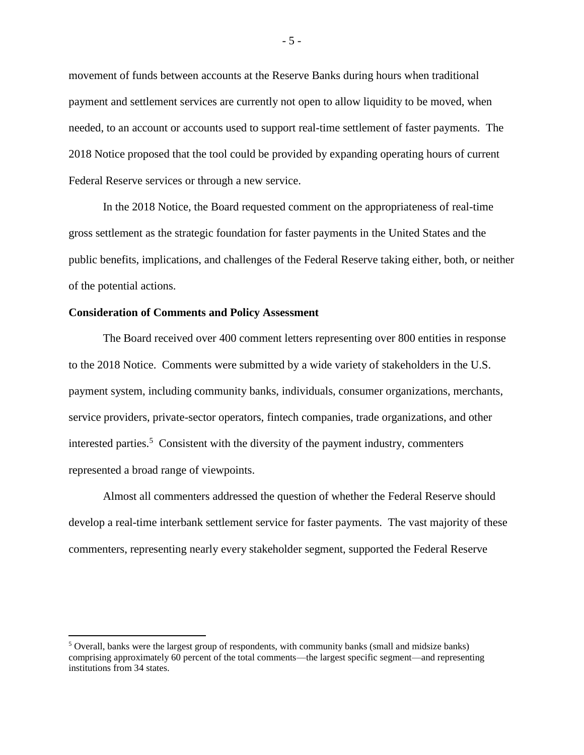movement of funds between accounts at the Reserve Banks during hours when traditional payment and settlement services are currently not open to allow liquidity to be moved, when needed, to an account or accounts used to support real-time settlement of faster payments. The 2018 Notice proposed that the tool could be provided by expanding operating hours of current Federal Reserve services or through a new service.

In the 2018 Notice, the Board requested comment on the appropriateness of real-time gross settlement as the strategic foundation for faster payments in the United States and the public benefits, implications, and challenges of the Federal Reserve taking either, both, or neither of the potential actions.

# **Consideration of Comments and Policy Assessment**

 $\overline{\phantom{a}}$ 

The Board received over 400 comment letters representing over 800 entities in response to the 2018 Notice. Comments were submitted by a wide variety of stakeholders in the U.S. payment system, including community banks, individuals, consumer organizations, merchants, service providers, private-sector operators, fintech companies, trade organizations, and other interested parties.<sup>5</sup> Consistent with the diversity of the payment industry, commenters represented a broad range of viewpoints.

Almost all commenters addressed the question of whether the Federal Reserve should develop a real-time interbank settlement service for faster payments. The vast majority of these commenters, representing nearly every stakeholder segment, supported the Federal Reserve

 $<sup>5</sup>$  Overall, banks were the largest group of respondents, with community banks (small and midsize banks)</sup> comprising approximately 60 percent of the total comments—the largest specific segment—and representing institutions from 34 states.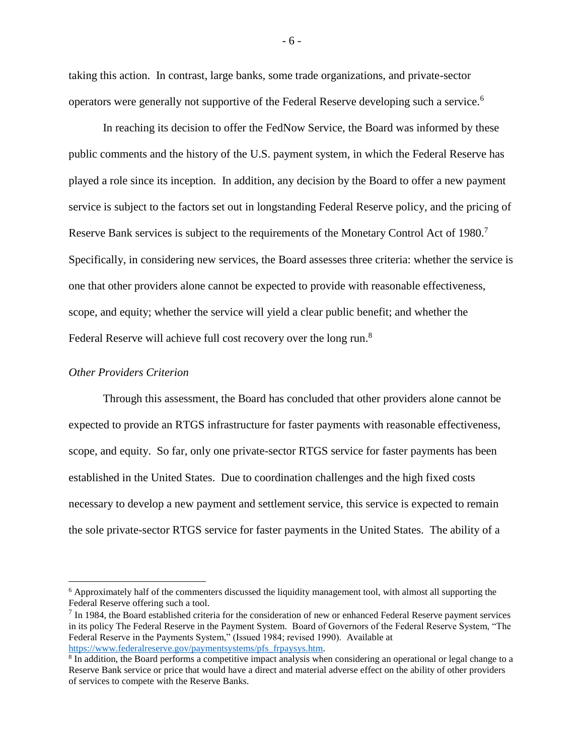taking this action. In contrast, large banks, some trade organizations, and private-sector operators were generally not supportive of the Federal Reserve developing such a service.<sup>6</sup>

In reaching its decision to offer the FedNow Service, the Board was informed by these public comments and the history of the U.S. payment system, in which the Federal Reserve has played a role since its inception. In addition, any decision by the Board to offer a new payment service is subject to the factors set out in longstanding Federal Reserve policy, and the pricing of Reserve Bank services is subject to the requirements of the Monetary Control Act of 1980.<sup>7</sup> Specifically, in considering new services, the Board assesses three criteria: whether the service is one that other providers alone cannot be expected to provide with reasonable effectiveness, scope, and equity; whether the service will yield a clear public benefit; and whether the Federal Reserve will achieve full cost recovery over the long run.<sup>8</sup>

# *Other Providers Criterion*

 $\overline{\phantom{a}}$ 

Through this assessment, the Board has concluded that other providers alone cannot be expected to provide an RTGS infrastructure for faster payments with reasonable effectiveness, scope, and equity. So far, only one private-sector RTGS service for faster payments has been established in the United States. Due to coordination challenges and the high fixed costs necessary to develop a new payment and settlement service, this service is expected to remain the sole private-sector RTGS service for faster payments in the United States. The ability of a

<sup>&</sup>lt;sup>6</sup> Approximately half of the commenters discussed the liquidity management tool, with almost all supporting the Federal Reserve offering such a tool.

 $<sup>7</sup>$  In 1984, the Board established criteria for the consideration of new or enhanced Federal Reserve payment services</sup> in its policy The Federal Reserve in the Payment System. Board of Governors of the Federal Reserve System, "The Federal Reserve in the Payments System," (Issued 1984; revised 1990). Available at [https://www.federalreserve.gov/paymentsystems/pfs\\_frpaysys.htm.](https://www.federalreserve.gov/paymentsystems/pfs_frpaysys.htm)

<sup>&</sup>lt;sup>8</sup> In addition, the Board performs a competitive impact analysis when considering an operational or legal change to a Reserve Bank service or price that would have a direct and material adverse effect on the ability of other providers of services to compete with the Reserve Banks.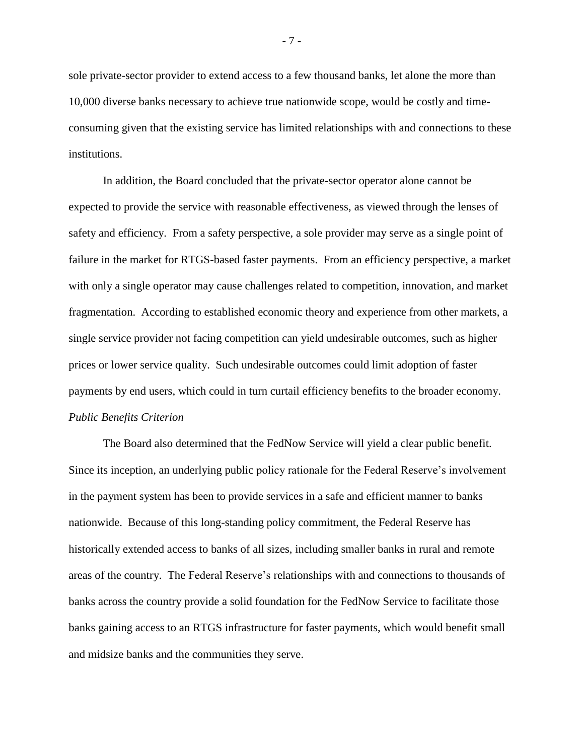sole private-sector provider to extend access to a few thousand banks, let alone the more than 10,000 diverse banks necessary to achieve true nationwide scope, would be costly and timeconsuming given that the existing service has limited relationships with and connections to these institutions.

In addition, the Board concluded that the private-sector operator alone cannot be expected to provide the service with reasonable effectiveness, as viewed through the lenses of safety and efficiency. From a safety perspective, a sole provider may serve as a single point of failure in the market for RTGS-based faster payments. From an efficiency perspective, a market with only a single operator may cause challenges related to competition, innovation, and market fragmentation. According to established economic theory and experience from other markets, a single service provider not facing competition can yield undesirable outcomes, such as higher prices or lower service quality. Such undesirable outcomes could limit adoption of faster payments by end users, which could in turn curtail efficiency benefits to the broader economy. *Public Benefits Criterion*

The Board also determined that the FedNow Service will yield a clear public benefit. Since its inception, an underlying public policy rationale for the Federal Reserve's involvement in the payment system has been to provide services in a safe and efficient manner to banks nationwide. Because of this long-standing policy commitment, the Federal Reserve has historically extended access to banks of all sizes, including smaller banks in rural and remote areas of the country. The Federal Reserve's relationships with and connections to thousands of banks across the country provide a solid foundation for the FedNow Service to facilitate those banks gaining access to an RTGS infrastructure for faster payments, which would benefit small and midsize banks and the communities they serve.

- 7 -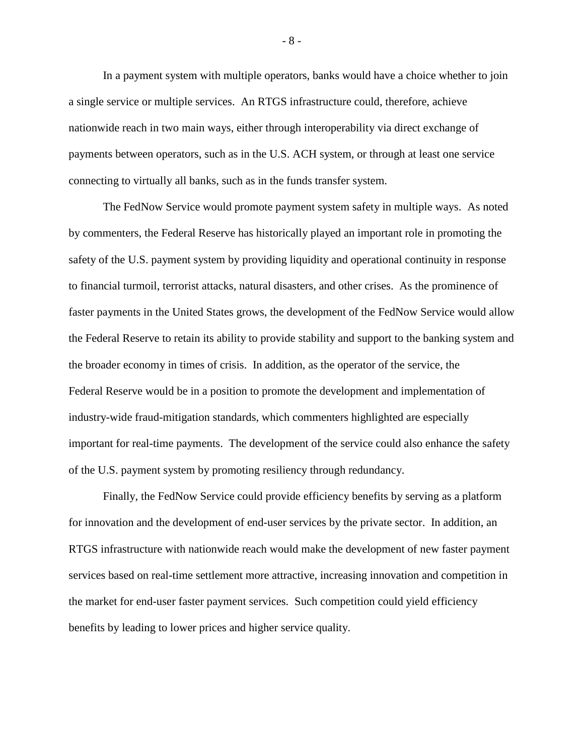In a payment system with multiple operators, banks would have a choice whether to join a single service or multiple services. An RTGS infrastructure could, therefore, achieve nationwide reach in two main ways, either through interoperability via direct exchange of payments between operators, such as in the U.S. ACH system, or through at least one service connecting to virtually all banks, such as in the funds transfer system.

The FedNow Service would promote payment system safety in multiple ways. As noted by commenters, the Federal Reserve has historically played an important role in promoting the safety of the U.S. payment system by providing liquidity and operational continuity in response to financial turmoil, terrorist attacks, natural disasters, and other crises. As the prominence of faster payments in the United States grows, the development of the FedNow Service would allow the Federal Reserve to retain its ability to provide stability and support to the banking system and the broader economy in times of crisis. In addition, as the operator of the service, the Federal Reserve would be in a position to promote the development and implementation of industry-wide fraud-mitigation standards, which commenters highlighted are especially important for real-time payments. The development of the service could also enhance the safety of the U.S. payment system by promoting resiliency through redundancy.

Finally, the FedNow Service could provide efficiency benefits by serving as a platform for innovation and the development of end-user services by the private sector. In addition, an RTGS infrastructure with nationwide reach would make the development of new faster payment services based on real-time settlement more attractive, increasing innovation and competition in the market for end-user faster payment services. Such competition could yield efficiency benefits by leading to lower prices and higher service quality.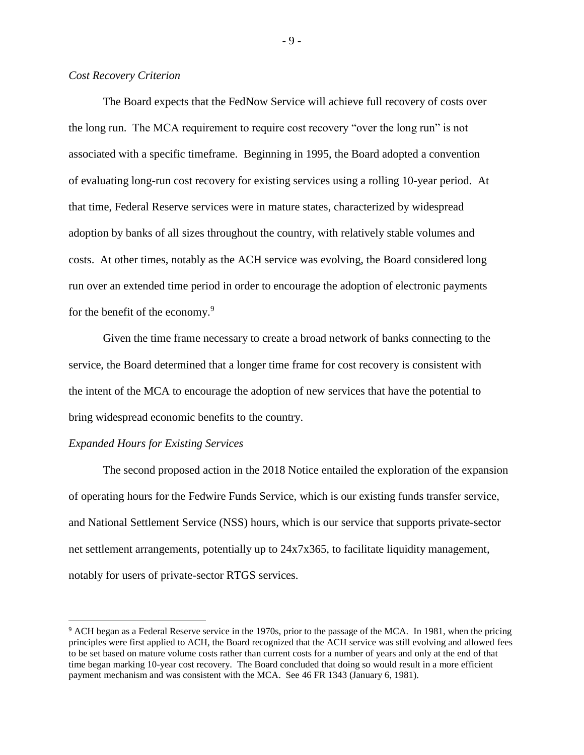# *Cost Recovery Criterion*

The Board expects that the FedNow Service will achieve full recovery of costs over the long run. The MCA requirement to require cost recovery "over the long run" is not associated with a specific timeframe. Beginning in 1995, the Board adopted a convention of evaluating long-run cost recovery for existing services using a rolling 10-year period. At that time, Federal Reserve services were in mature states, characterized by widespread adoption by banks of all sizes throughout the country, with relatively stable volumes and costs. At other times, notably as the ACH service was evolving, the Board considered long run over an extended time period in order to encourage the adoption of electronic payments for the benefit of the economy.<sup>9</sup>

Given the time frame necessary to create a broad network of banks connecting to the service, the Board determined that a longer time frame for cost recovery is consistent with the intent of the MCA to encourage the adoption of new services that have the potential to bring widespread economic benefits to the country.

### *Expanded Hours for Existing Services*

l

The second proposed action in the 2018 Notice entailed the exploration of the expansion of operating hours for the Fedwire Funds Service, which is our existing funds transfer service, and National Settlement Service (NSS) hours, which is our service that supports private-sector net settlement arrangements, potentially up to 24x7x365, to facilitate liquidity management, notably for users of private-sector RTGS services.

- 9 -

<sup>9</sup> ACH began as a Federal Reserve service in the 1970s, prior to the passage of the MCA. In 1981, when the pricing principles were first applied to ACH, the Board recognized that the ACH service was still evolving and allowed fees to be set based on mature volume costs rather than current costs for a number of years and only at the end of that time began marking 10-year cost recovery. The Board concluded that doing so would result in a more efficient payment mechanism and was consistent with the MCA. See 46 FR 1343 (January 6, 1981).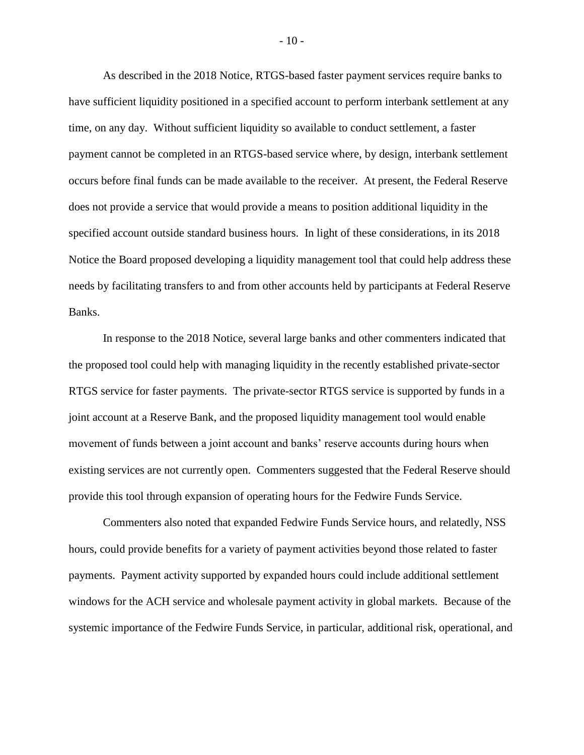As described in the 2018 Notice, RTGS-based faster payment services require banks to have sufficient liquidity positioned in a specified account to perform interbank settlement at any time, on any day. Without sufficient liquidity so available to conduct settlement, a faster payment cannot be completed in an RTGS-based service where, by design, interbank settlement occurs before final funds can be made available to the receiver. At present, the Federal Reserve does not provide a service that would provide a means to position additional liquidity in the specified account outside standard business hours. In light of these considerations, in its 2018 Notice the Board proposed developing a liquidity management tool that could help address these needs by facilitating transfers to and from other accounts held by participants at Federal Reserve Banks.

In response to the 2018 Notice, several large banks and other commenters indicated that the proposed tool could help with managing liquidity in the recently established private-sector RTGS service for faster payments. The private-sector RTGS service is supported by funds in a joint account at a Reserve Bank, and the proposed liquidity management tool would enable movement of funds between a joint account and banks' reserve accounts during hours when existing services are not currently open. Commenters suggested that the Federal Reserve should provide this tool through expansion of operating hours for the Fedwire Funds Service.

Commenters also noted that expanded Fedwire Funds Service hours, and relatedly, NSS hours, could provide benefits for a variety of payment activities beyond those related to faster payments. Payment activity supported by expanded hours could include additional settlement windows for the ACH service and wholesale payment activity in global markets. Because of the systemic importance of the Fedwire Funds Service, in particular, additional risk, operational, and

- 10 -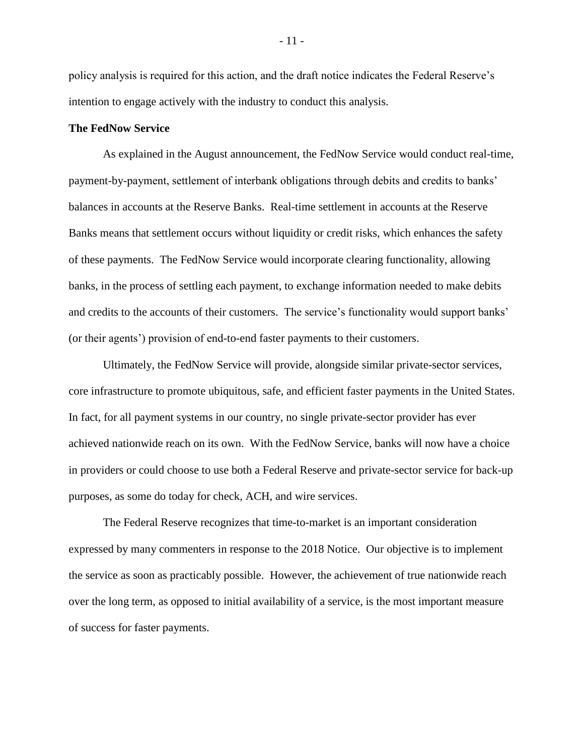policy analysis is required for this action, and the draft notice indicates the Federal Reserve's intention to engage actively with the industry to conduct this analysis.

### **The FedNow Service**

As explained in the August announcement, the FedNow Service would conduct real-time, payment-by-payment, settlement of interbank obligations through debits and credits to banks' balances in accounts at the Reserve Banks. Real-time settlement in accounts at the Reserve Banks means that settlement occurs without liquidity or credit risks, which enhances the safety of these payments. The FedNow Service would incorporate clearing functionality, allowing banks, in the process of settling each payment, to exchange information needed to make debits and credits to the accounts of their customers. The service's functionality would support banks' (or their agents') provision of end-to-end faster payments to their customers.

Ultimately, the FedNow Service will provide, alongside similar private-sector services, core infrastructure to promote ubiquitous, safe, and efficient faster payments in the United States. In fact, for all payment systems in our country, no single private-sector provider has ever achieved nationwide reach on its own. With the FedNow Service, banks will now have a choice in providers or could choose to use both a Federal Reserve and private-sector service for back-up purposes, as some do today for check, ACH, and wire services.

The Federal Reserve recognizes that time-to-market is an important consideration expressed by many commenters in response to the 2018 Notice. Our objective is to implement the service as soon as practicably possible. However, the achievement of true nationwide reach over the long term, as opposed to initial availability of a service, is the most important measure of success for faster payments.